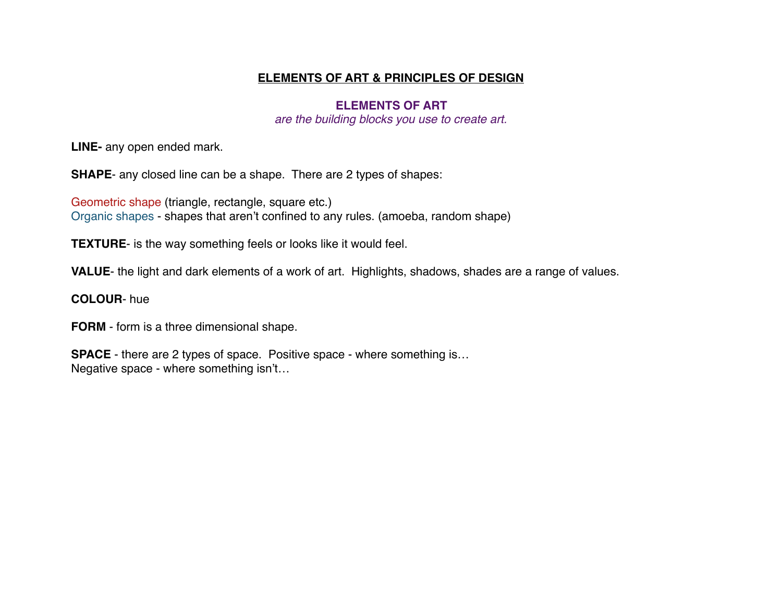## **ELEMENTS OF ART & PRINCIPLES OF DESIGN**

## **ELEMENTS OF ART**

*are the building blocks you use to create art.*

**LINE-** any open ended mark.

**SHAPE**- any closed line can be a shape. There are 2 types of shapes:

Geometric shape (triangle, rectangle, square etc.) Organic shapes - shapes that aren't confined to any rules. (amoeba, random shape)

**TEXTURE**- is the way something feels or looks like it would feel.

**VALUE**- the light and dark elements of a work of art. Highlights, shadows, shades are a range of values.

## **COLOUR**- hue

**FORM** - form is a three dimensional shape.

**SPACE** - there are 2 types of space. Positive space - where something is... Negative space - where something isn't…